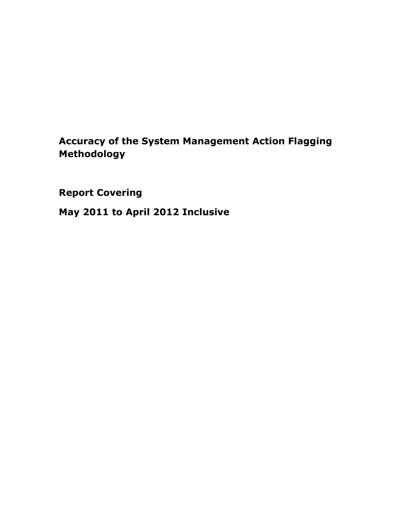# Accuracy of the System Management Action Flagging Methodology

Report Covering

May 2011 to April 2012 Inclusive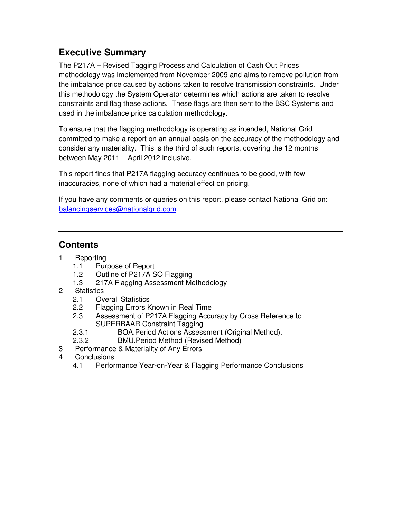## **Executive Summary**

The P217A – Revised Tagging Process and Calculation of Cash Out Prices methodology was implemented from November 2009 and aims to remove pollution from the imbalance price caused by actions taken to resolve transmission constraints. Under this methodology the System Operator determines which actions are taken to resolve constraints and flag these actions. These flags are then sent to the BSC Systems and used in the imbalance price calculation methodology.

To ensure that the flagging methodology is operating as intended, National Grid committed to make a report on an annual basis on the accuracy of the methodology and consider any materiality. This is the third of such reports, covering the 12 months between May 2011 – April 2012 inclusive.

This report finds that P217A flagging accuracy continues to be good, with few inaccuracies, none of which had a material effect on pricing.

If you have any comments or queries on this report, please contact National Grid on: balancingservices@nationalgrid.com

## **Contents**

- 1 Reporting
	- 1.1 Purpose of Report
	- 1.2 Outline of P217A SO Flagging
	- 1.3 217A Flagging Assessment Methodology
- 2 Statistics
	- 2.1 Overall Statistics
	- 2.2 Flagging Errors Known in Real Time
	- 2.3 Assessment of P217A Flagging Accuracy by Cross Reference to SUPERBAAR Constraint Tagging
	- 2.3.1 BOA.Period Actions Assessment (Original Method).
	- 2.3.2 BMU.Period Method (Revised Method)
- 3 Performance & Materiality of Any Errors
- 4 Conclusions
	- 4.1 Performance Year-on-Year & Flagging Performance Conclusions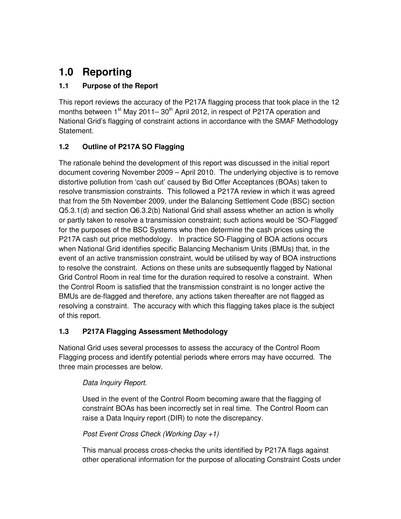# **1.0 Reporting**

## **1.1 Purpose of the Report**

This report reviews the accuracy of the P217A flagging process that took place in the 12 months between  $1<sup>st</sup>$  May 2011– 30<sup>th</sup> April 2012, in respect of P217A operation and National Grid's flagging of constraint actions in accordance with the SMAF Methodology Statement.

## **1.2 Outline of P217A SO Flagging**

The rationale behind the development of this report was discussed in the initial report document covering November 2009 – April 2010. The underlying objective is to remove distortive pollution from 'cash out' caused by Bid Offer Acceptances (BOAs) taken to resolve transmission constraints. This followed a P217A review in which it was agreed that from the 5th November 2009, under the Balancing Settlement Code (BSC) section Q5.3.1(d) and section Q6.3.2(b) National Grid shall assess whether an action is wholly or partly taken to resolve a transmission constraint; such actions would be 'SO-Flagged' for the purposes of the BSC Systems who then determine the cash prices using the P217A cash out price methodology. In practice SO-Flagging of BOA actions occurs when National Grid identifies specific Balancing Mechanism Units (BMUs) that, in the event of an active transmission constraint, would be utilised by way of BOA instructions to resolve the constraint. Actions on these units are subsequently flagged by National Grid Control Room in real time for the duration required to resolve a constraint. When the Control Room is satisfied that the transmission constraint is no longer active the BMUs are de-flagged and therefore, any actions taken thereafter are not flagged as resolving a constraint. The accuracy with which this flagging takes place is the subject of this report.

## **1.3 P217A Flagging Assessment Methodology**

National Grid uses several processes to assess the accuracy of the Control Room Flagging process and identify potential periods where errors may have occurred. The three main processes are below.

## Data Inquiry Report.

Used in the event of the Control Room becoming aware that the flagging of constraint BOAs has been incorrectly set in real time. The Control Room can raise a Data Inquiry report (DIR) to note the discrepancy.

#### Post Event Cross Check (Working Day +1)

This manual process cross-checks the units identified by P217A flags against other operational information for the purpose of allocating Constraint Costs under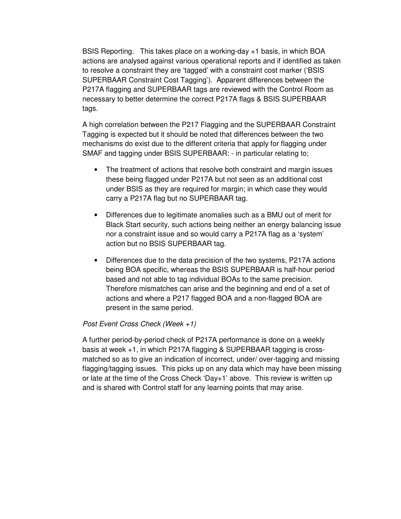BSIS Reporting. This takes place on a working-day +1 basis, in which BOA actions are analysed against various operational reports and if identified as taken to resolve a constraint they are 'tagged' with a constraint cost marker ('BSIS SUPERBAAR Constraint Cost Tagging'). Apparent differences between the P217A flagging and SUPERBAAR tags are reviewed with the Control Room as necessary to better determine the correct P217A flags & BSIS SUPERBAAR tags.

A high correlation between the P217 Flagging and the SUPERBAAR Constraint Tagging is expected but it should be noted that differences between the two mechanisms do exist due to the different criteria that apply for flagging under SMAF and tagging under BSIS SUPERBAAR: - in particular relating to;

- The treatment of actions that resolve both constraint and margin issues these being flagged under P217A but not seen as an additional cost under BSIS as they are required for margin; in which case they would carry a P217A flag but no SUPERBAAR tag.
- Differences due to legitimate anomalies such as a BMU out of merit for Black Start security, such actions being neither an energy balancing issue nor a constraint issue and so would carry a P217A flag as a 'system' action but no BSIS SUPERBAAR tag.
- Differences due to the data precision of the two systems, P217A actions being BOA specific, whereas the BSIS SUPERBAAR is half-hour period based and not able to tag individual BOAs to the same precision. Therefore mismatches can arise and the beginning and end of a set of actions and where a P217 flagged BOA and a non-flagged BOA are present in the same period.

#### Post Event Cross Check (Week +1)

A further period-by-period check of P217A performance is done on a weekly basis at week +1, in which P217A flagging & SUPERBAAR tagging is crossmatched so as to give an indication of incorrect, under/ over-tagging and missing flagging/tagging issues. This picks up on any data which may have been missing or late at the time of the Cross Check 'Day+1' above. This review is written up and is shared with Control staff for any learning points that may arise.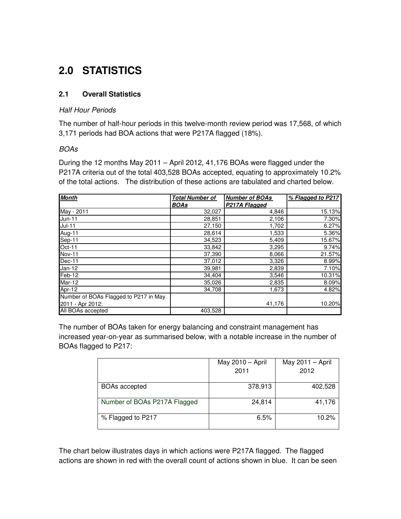# **2.0 STATISTICS**

#### **2.1 Overall Statistics**

#### Half Hour Periods

The number of half-hour periods in this twelve-month review period was 17,568, of which 3,171 periods had BOA actions that were P217A flagged (18%).

#### BOAs

During the 12 months May 2011 – April 2012, 41,176 BOAs were flagged under the P217A criteria out of the total 403,528 BOAs accepted, equating to approximately 10.2% of the total actions. The distribution of these actions are tabulated and charted below.

| <b>Month</b>                          | <b>Total Number of</b> | <b>Number of BOAs</b> | % Flagged to P217 |
|---------------------------------------|------------------------|-----------------------|-------------------|
|                                       | <b>BOAs</b>            | P217A Flagged         |                   |
| May - 2011                            | 32,027                 | 4,846                 | 15.13%            |
| $Jun-11$                              | 28,851                 | 2,106                 | 7.30%             |
| $Jul-11$                              | 27,150                 | 1,702                 | 6.27%             |
| Aug-11                                | 28,614                 | 1,533                 | 5.36%             |
| Sep-11                                | 34,523                 | 5,409                 | 15.67%            |
| $Oct-11$                              | 33,842                 | 3,295                 | 9.74%             |
| Nov-11                                | 37,390                 | 8,066                 | 21.57%            |
| Dec-11                                | 37,012                 | 3,326                 | 8.99%             |
| Jan-12                                | 39,981                 | 2,839                 | 7.10%             |
| Feb-12                                | 34,404                 | 3,546                 | 10.31%            |
| <b>Mar-12</b>                         | 35,026                 | 2,835                 | 8.09%             |
| Apr-12                                | 34,708                 | 1,673                 | 4.82%             |
| Number of BOAs Flagged to P217 in May |                        |                       |                   |
| 2011 - Apr 2012:                      |                        | 41,176                | 10.20%            |
| All BOAs accepted                     | 403,528                |                       |                   |

The number of BOAs taken for energy balancing and constraint management has increased year-on-year as summarised below, with a notable increase in the number of BOAs flagged to P217:

|                              | May 2010 - April<br>2011 | May $2011 -$ April<br>2012 |  |  |  |  |  |
|------------------------------|--------------------------|----------------------------|--|--|--|--|--|
| <b>BOAs accepted</b>         | 378,913                  | 402,528                    |  |  |  |  |  |
| Number of BOAs P217A Flagged | 24,814                   | 41,176                     |  |  |  |  |  |
| % Flagged to P217            | 6.5%                     | 10.2%                      |  |  |  |  |  |

The chart below illustrates days in which actions were P217A flagged. The flagged actions are shown in red with the overall count of actions shown in blue. It can be seen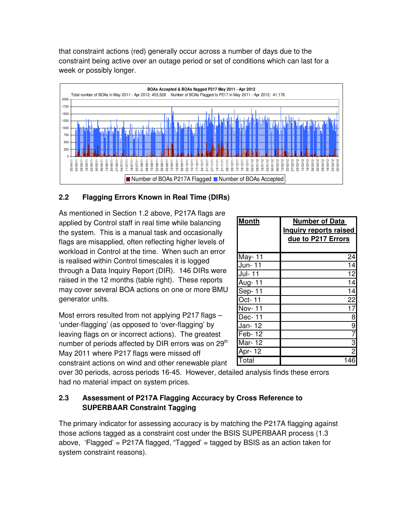that constraint actions (red) generally occur across a number of days due to the constraint being active over an outage period or set of conditions which can last for a week or possibly longer.



## **2.2 Flagging Errors Known in Real Time (DIRs)**

As mentioned in Section 1.2 above, P217A flags are applied by Control staff in real time while balancing the system. This is a manual task and occasionally flags are misapplied, often reflecting higher levels of workload in Control at the time. When such an error is realised within Control timescales it is logged through a Data Inquiry Report (DIR). 146 DIRs were raised in the 12 months (table right). These reports may cover several BOA actions on one or more BMU generator units.

Most errors resulted from not applying P217 flags – 'under-flagging' (as opposed to 'over-flagging' by leaving flags on or incorrect actions). The greatest number of periods affected by DIR errors was on 29<sup>th</sup> May 2011 where P217 flags were missed off constraint actions on wind and other renewable plant

| <b>Month</b>  | <b>Number of Data</b><br>Inquiry reports raised |
|---------------|-------------------------------------------------|
|               | due to P217 Errors                              |
| May-11        | 24                                              |
| Jun-11        | 14                                              |
| Jul- 11       | 12                                              |
| Aug- 11       | 14                                              |
| <b>Sep-11</b> | 14                                              |
| $Oct - 11$    | 22                                              |
| <b>Nov-11</b> | 17                                              |
| Dec-11        | 8                                               |
| Jan-12        | $\overline{9}$                                  |
| Feb-12        | $\overline{7}$                                  |
| Mar-12        | $rac{3}{2}$                                     |
| Apr- 12       |                                                 |
| Total         | 146                                             |

over 30 periods, across periods 16-45. However, detailed analysis finds these errors had no material impact on system prices.

### **2.3 Assessment of P217A Flagging Accuracy by Cross Reference to SUPERBAAR Constraint Tagging**

The primary indicator for assessing accuracy is by matching the P217A flagging against those actions tagged as a constraint cost under the BSIS SUPERBAAR process (1.3 above, 'Flagged' = P217A flagged, "Tagged' = tagged by BSIS as an action taken for system constraint reasons).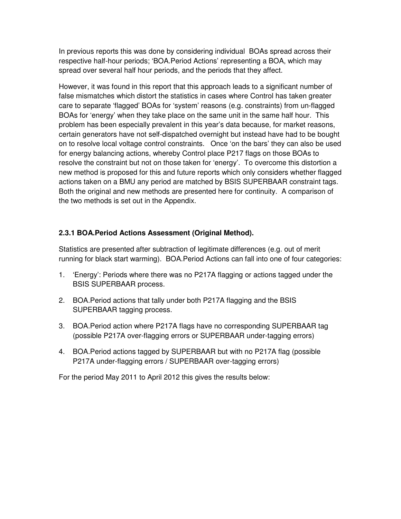In previous reports this was done by considering individual BOAs spread across their respective half-hour periods; 'BOA.Period Actions' representing a BOA, which may spread over several half hour periods, and the periods that they affect.

However, it was found in this report that this approach leads to a significant number of false mismatches which distort the statistics in cases where Control has taken greater care to separate 'flagged' BOAs for 'system' reasons (e.g. constraints) from un-flagged BOAs for 'energy' when they take place on the same unit in the same half hour. This problem has been especially prevalent in this year's data because, for market reasons, certain generators have not self-dispatched overnight but instead have had to be bought on to resolve local voltage control constraints. Once 'on the bars' they can also be used for energy balancing actions, whereby Control place P217 flags on those BOAs to resolve the constraint but not on those taken for 'energy'. To overcome this distortion a new method is proposed for this and future reports which only considers whether flagged actions taken on a BMU any period are matched by BSIS SUPERBAAR constraint tags. Both the original and new methods are presented here for continuity. A comparison of the two methods is set out in the Appendix.

## **2.3.1 BOA.Period Actions Assessment (Original Method).**

Statistics are presented after subtraction of legitimate differences (e.g. out of merit running for black start warming). BOA.Period Actions can fall into one of four categories:

- 1. 'Energy': Periods where there was no P217A flagging or actions tagged under the BSIS SUPERBAAR process.
- 2. BOA.Period actions that tally under both P217A flagging and the BSIS SUPERBAAR tagging process.
- 3. BOA.Period action where P217A flags have no corresponding SUPERBAAR tag (possible P217A over-flagging errors or SUPERBAAR under-tagging errors)
- 4. BOA.Period actions tagged by SUPERBAAR but with no P217A flag (possible P217A under-flagging errors / SUPERBAAR over-tagging errors)

For the period May 2011 to April 2012 this gives the results below: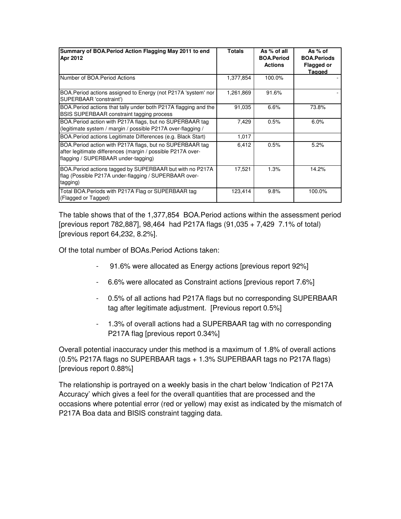| Summary of BOA. Period Action Flagging May 2011 to end<br>Apr 2012                                                                                              | <b>Totals</b> | As % of all<br><b>BOA.Period</b><br><b>Actions</b> | As % of<br><b>BOA.Periods</b><br><b>Flagged or</b><br><b>Tagged</b> |
|-----------------------------------------------------------------------------------------------------------------------------------------------------------------|---------------|----------------------------------------------------|---------------------------------------------------------------------|
| Number of BOA.Period Actions                                                                                                                                    | 1,377,854     | 100.0%                                             |                                                                     |
| BOA.Period actions assigned to Energy (not P217A 'system' nor<br>SUPERBAAR 'constraint')                                                                        | 1,261,869     | 91.6%                                              |                                                                     |
| BOA. Period actions that tally under both P217A flagging and the<br><b>BSIS SUPERBAAR constraint tagging process</b>                                            | 91,035        | 6.6%                                               | 73.8%                                                               |
| BOA. Period action with P217A flags, but no SUPERBAAR tag<br>(legitimate system / margin / possible P217A over-flagging /                                       | 7,429         | 0.5%                                               | 6.0%                                                                |
| BOA. Period actions Legitimate Differences (e.g. Black Start)                                                                                                   | 1,017         |                                                    |                                                                     |
| BOA. Period action with P217A flags, but no SUPERBAAR tag<br>after legitimate differences (margin / possible P217A over-<br>flagging / SUPERBAAR under-tagging) | 6,412         | 0.5%                                               | 5.2%                                                                |
| BOA. Period actions tagged by SUPERBAAR but with no P217A<br>flag (Possible P217A under-flagging / SUPERBAAR over-<br>tagging)                                  | 17,521        | 1.3%                                               | 14.2%                                                               |
| Total BOA. Periods with P217A Flag or SUPERBAAR tag<br>(Flagged or Tagged)                                                                                      | 123,414       | 9.8%                                               | 100.0%                                                              |

The table shows that of the 1,377,854 BOA.Period actions within the assessment period [previous report 782,887], 98,464 had P217A flags (91,035 + 7,429 7.1% of total) [previous report 64,232, 8.2%].

Of the total number of BOAs.Period Actions taken:

- 91.6% were allocated as Energy actions [previous report 92%]
- 6.6% were allocated as Constraint actions [previous report 7.6%]
- 0.5% of all actions had P217A flags but no corresponding SUPERBAAR tag after legitimate adjustment. [Previous report 0.5%]
- 1.3% of overall actions had a SUPERBAAR tag with no corresponding P217A flag [previous report 0.34%]

Overall potential inaccuracy under this method is a maximum of 1.8% of overall actions (0.5% P217A flags no SUPERBAAR tags + 1.3% SUPERBAAR tags no P217A flags) [previous report 0.88%]

The relationship is portrayed on a weekly basis in the chart below 'Indication of P217A Accuracy' which gives a feel for the overall quantities that are processed and the occasions where potential error (red or yellow) may exist as indicated by the mismatch of P217A Boa data and BISIS constraint tagging data.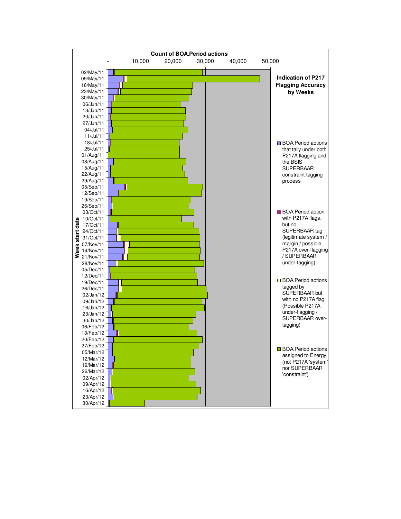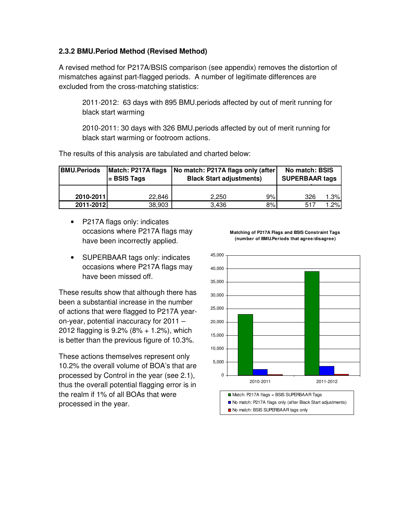#### **2.3.2 BMU.Period Method (Revised Method)**

A revised method for P217A/BSIS comparison (see appendix) removes the distortion of mismatches against part-flagged periods. A number of legitimate differences are excluded from the cross-matching statistics:

2011-2012: 63 days with 895 BMU.periods affected by out of merit running for black start warming

2010-2011: 30 days with 326 BMU.periods affected by out of merit running for black start warming or footroom actions.

| <b>BMU.Periods</b> | $=$ BSIS Tags | Match: P217A flags   No match: P217A flags only (after)<br><b>Black Start adjustments)</b> | No match: BSIS<br><b>SUPERBAAR tags</b> |  |  |  |  |  |  |
|--------------------|---------------|--------------------------------------------------------------------------------------------|-----------------------------------------|--|--|--|--|--|--|
| 2010-2011          | 22.846        | 9%<br>2.250                                                                                | 1.3%<br>326                             |  |  |  |  |  |  |
| 2011-2012          | 38,903        | 8%<br>3.436                                                                                | $.2\%$<br>517                           |  |  |  |  |  |  |

The results of this analysis are tabulated and charted below:

- P217A flags only: indicates occasions where P217A flags may have been incorrectly applied.
- SUPERBAAR tags only: indicates occasions where P217A flags may have been missed off.

These results show that although there has been a substantial increase in the number of actions that were flagged to P217A yearon-year, potential inaccuracy for 2011 – 2012 flagging is 9.2% (8% + 1.2%), which is better than the previous figure of 10.3%.

These actions themselves represent only 10.2% the overall volume of BOA's that are processed by Control in the year (see 2.1), thus the overall potential flagging error is in the realm if 1% of all BOAs that were processed in the year.



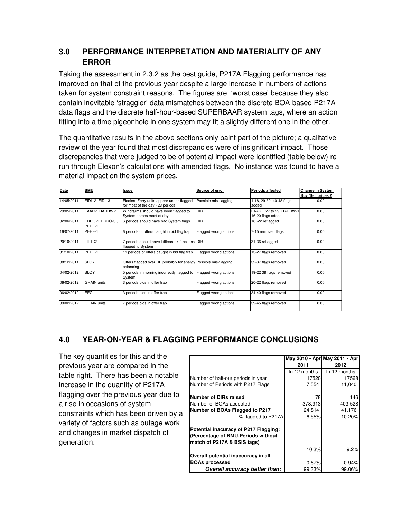## **3.0 PERFORMANCE INTERPRETATION AND MATERIALITY OF ANY ERROR**

Taking the assessment in 2.3.2 as the best guide, P217A Flagging performance has improved on that of the previous year despite a large increase in numbers of actions taken for system constraint reasons. The figures are 'worst case' because they also contain inevitable 'straggler' data mismatches between the discrete BOA-based P217A data flags and the discrete half-hour-based SUPERBAAR system tags, where an action fitting into a time pigeonhole in one system may fit a slightly different one in the other.

The quantitative results in the above sections only paint part of the picture; a qualitative review of the year found that most discrepancies were of insignificant impact. Those discrepancies that were judged to be of potential impact were identified (table below) rerun through Elexon's calculations with amended flags. No instance was found to have a material impact on the system prices.

| Date       | <b>BMU</b>                | Issue                                                                         | Source of error       | Periods affected           | <b>Change in System</b> |
|------------|---------------------------|-------------------------------------------------------------------------------|-----------------------|----------------------------|-------------------------|
|            |                           |                                                                               |                       |                            | Buy /Sell prices £      |
| 14/05/2011 | FIDL-2 FIDL-3             | Fiddlers Ferry units appear under-flagged                                     | Possible mis-flagging | 1-18, 29-32, 40-48 flags   | 0.00                    |
|            |                           | for most of the day - 23 periods.                                             |                       | added                      |                         |
| 29/05/2011 | FAAR-1 HADHW-1            | Windfarms should have been flagged to                                         | <b>DIR</b>            | $FAAR = 27$ to 29, HADHW-1 | 0.00                    |
|            |                           | System across most of day                                                     |                       | 16-20 flags added          |                         |
| 02/06/2011 | ERRO-1, ERRO-3,<br>PEHE-1 | 6 periods should have had System flags                                        | <b>DIR</b>            | 18-22 reflagged            | 0.00                    |
| 16/07/2011 | PEHE-1                    | 6 periods of offers caught in bid flag trap                                   | Flagged wrong actions | 7-15 removed flags         | 0.00                    |
| 20/10/2011 | LITTD <sub>2</sub>        | 7 periods should have Littlebrook 2 actions DIR<br>flagged to System          |                       | 31-36 reflagged            | 0.00                    |
| 31/10/2011 | PEHE-1                    | 11 periods of offers caught in bid flag trap                                  | Flagged wrong actions | 13-27 flags removed        | 0.00                    |
| 08/12/2011 | <b>SLOY</b>               | Offers flagged over DP probably for energy Possible mis-flagging<br>balancing |                       | 32-37 flags removed        | 0.00                    |
| 04/02/2012 | <b>SLOY</b>               | 5 periods in morning incorrectly flagged to<br>System                         | Flagged wrong actions | 19-22 38 flags removed     | 0.00                    |
| 06/02/2012 | <b>GRAIN units</b>        | 3 periods bids in offer trap                                                  | Flagged wrong actions | 20-22 flags removed        | 0.00                    |
| 06/02/2012 | EECL-1                    | 3 periods bids in offer trap                                                  | Flagged wrong actions | 34-40 flags removed        | 0.00                    |
| 09/02/2012 | <b>GRAIN units</b>        | 7 periods bids in offer trap                                                  | Flagged wrong actions | 39-45 flags removed        | 0.00                    |

## **4.0 YEAR-ON-YEAR & FLAGGING PERFORMANCE CONCLUSIONS**

The key quantities for this and the previous year are compared in the table right. There has been a notable increase in the quantity of P217A flagging over the previous year due to a rise in occasions of system constraints which has been driven by a variety of factors such as outage work and changes in market dispatch of generation.

|                                       |              | May 2010 - Apr May 2011 - Apr |
|---------------------------------------|--------------|-------------------------------|
|                                       | 2011         | 2012                          |
|                                       | In 12 months | In 12 months                  |
| Number of half-our periods in year    | 17520        | 17568                         |
| Number of Periods with P217 Flags     | 7,554        | 11,040                        |
| Number of DIRs raised                 | 78           | 146                           |
| Number of BOAs accepted               | 378,913      | 403,528                       |
| Number of BOAs Flagged to P217        | 24,814       | 41,176                        |
| % flagged to P217A                    | 6.55%        | 10.20%                        |
| Potential inacuracy of P217 Flagging: |              |                               |
| (Percentage of BMU.Periods without    |              |                               |
| match of P217A & BSIS tags)           |              |                               |
|                                       | 10.3%        | 9.2%                          |
| Overall potential inaccuracy in all   |              |                               |
| <b>BOAs processed</b>                 | 0.67%        | 0.94%                         |
| Overall accuracy better than:         | 99.33%       | 99.06%                        |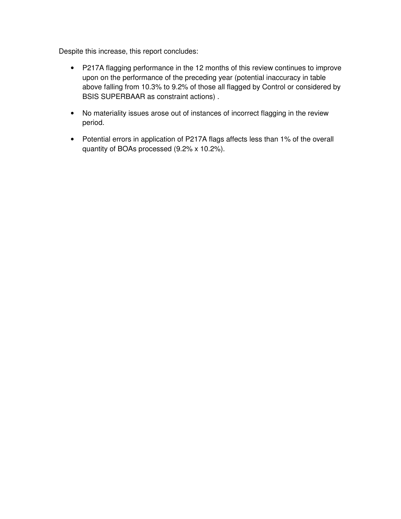Despite this increase, this report concludes:

- P217A flagging performance in the 12 months of this review continues to improve upon on the performance of the preceding year (potential inaccuracy in table above falling from 10.3% to 9.2% of those all flagged by Control or considered by BSIS SUPERBAAR as constraint actions) .
- No materiality issues arose out of instances of incorrect flagging in the review period.
- Potential errors in application of P217A flags affects less than 1% of the overall quantity of BOAs processed (9.2% x 10.2%).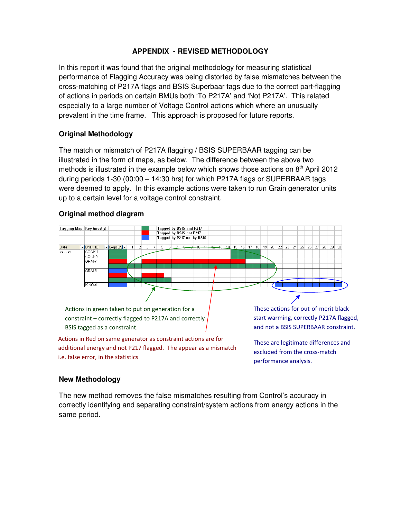#### **APPENDIX - REVISED METHODOLOGY**

In this report it was found that the original methodology for measuring statistical performance of Flagging Accuracy was being distorted by false mismatches between the cross-matching of P217A flags and BSIS Superbaar tags due to the correct part-flagging of actions in periods on certain BMUs both 'To P217A' and 'Not P217A'. This related especially to a large number of Voltage Control actions which where an unusually prevalent in the time frame. This approach is proposed for future reports.

#### **Original Methodology**

The match or mismatch of P217A flagging / BSIS SUPERBAAR tagging can be illustrated in the form of maps, as below. The difference between the above two methods is illustrated in the example below which shows those actions on  $8<sup>th</sup>$  April 2012 during periods 1-30 (00:00 – 14:30 hrs) for which P217A flags or SUPERBAAR tags were deemed to apply. In this example actions were taken to run Grain generator units up to a certain level for a voltage control constraint.

#### **Original method diagram**



#### **New Methodology**

The new method removes the false mismatches resulting from Control's accuracy in correctly identifying and separating constraint/system actions from energy actions in the same period.